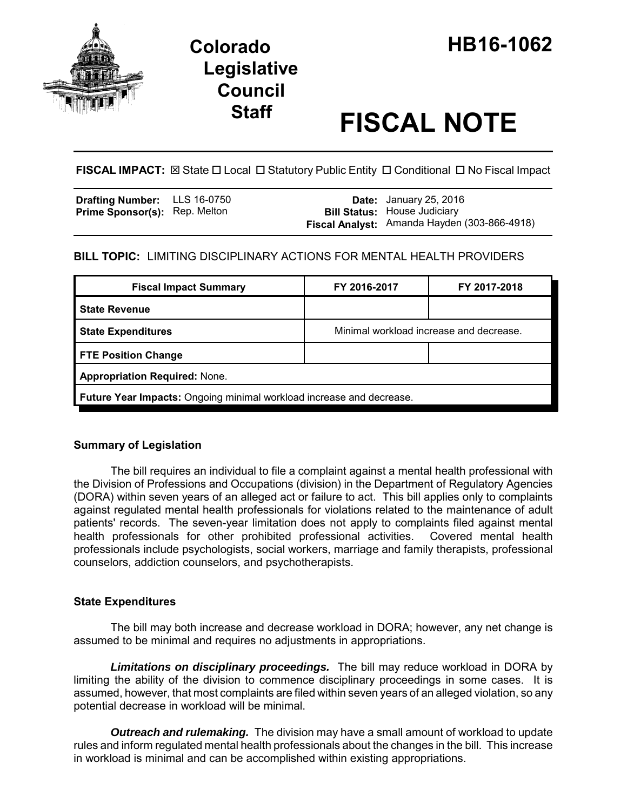

# **Legislative Council**

# **Staff FISCAL NOTE**

**FISCAL IMPACT:** ⊠ State □ Local □ Statutory Public Entity □ Conditional □ No Fiscal Impact

| <b>Drafting Number:</b> LLS 16-0750  |  | <b>Date:</b> January 25, 2016                |
|--------------------------------------|--|----------------------------------------------|
| <b>Prime Sponsor(s): Rep. Melton</b> |  | <b>Bill Status:</b> House Judiciary          |
|                                      |  | Fiscal Analyst: Amanda Hayden (303-866-4918) |

## **BILL TOPIC:** LIMITING DISCIPLINARY ACTIONS FOR MENTAL HEALTH PROVIDERS

| <b>Fiscal Impact Summary</b>                                         | FY 2016-2017                            | FY 2017-2018 |  |  |  |
|----------------------------------------------------------------------|-----------------------------------------|--------------|--|--|--|
| <b>State Revenue</b>                                                 |                                         |              |  |  |  |
| <b>State Expenditures</b>                                            | Minimal workload increase and decrease. |              |  |  |  |
| <b>FTE Position Change</b>                                           |                                         |              |  |  |  |
| <b>Appropriation Required: None.</b>                                 |                                         |              |  |  |  |
| Future Year Impacts: Ongoing minimal workload increase and decrease. |                                         |              |  |  |  |

## **Summary of Legislation**

The bill requires an individual to file a complaint against a mental health professional with the Division of Professions and Occupations (division) in the Department of Regulatory Agencies (DORA) within seven years of an alleged act or failure to act. This bill applies only to complaints against regulated mental health professionals for violations related to the maintenance of adult patients' records. The seven-year limitation does not apply to complaints filed against mental health professionals for other prohibited professional activities. Covered mental health professionals include psychologists, social workers, marriage and family therapists, professional counselors, addiction counselors, and psychotherapists.

## **State Expenditures**

The bill may both increase and decrease workload in DORA; however, any net change is assumed to be minimal and requires no adjustments in appropriations.

*Limitations on disciplinary proceedings.* The bill may reduce workload in DORA by limiting the ability of the division to commence disciplinary proceedings in some cases. It is assumed, however, that most complaints are filed within seven years of an alleged violation, so any potential decrease in workload will be minimal.

*Outreach and rulemaking.* The division may have a small amount of workload to update rules and inform regulated mental health professionals about the changes in the bill. This increase in workload is minimal and can be accomplished within existing appropriations.